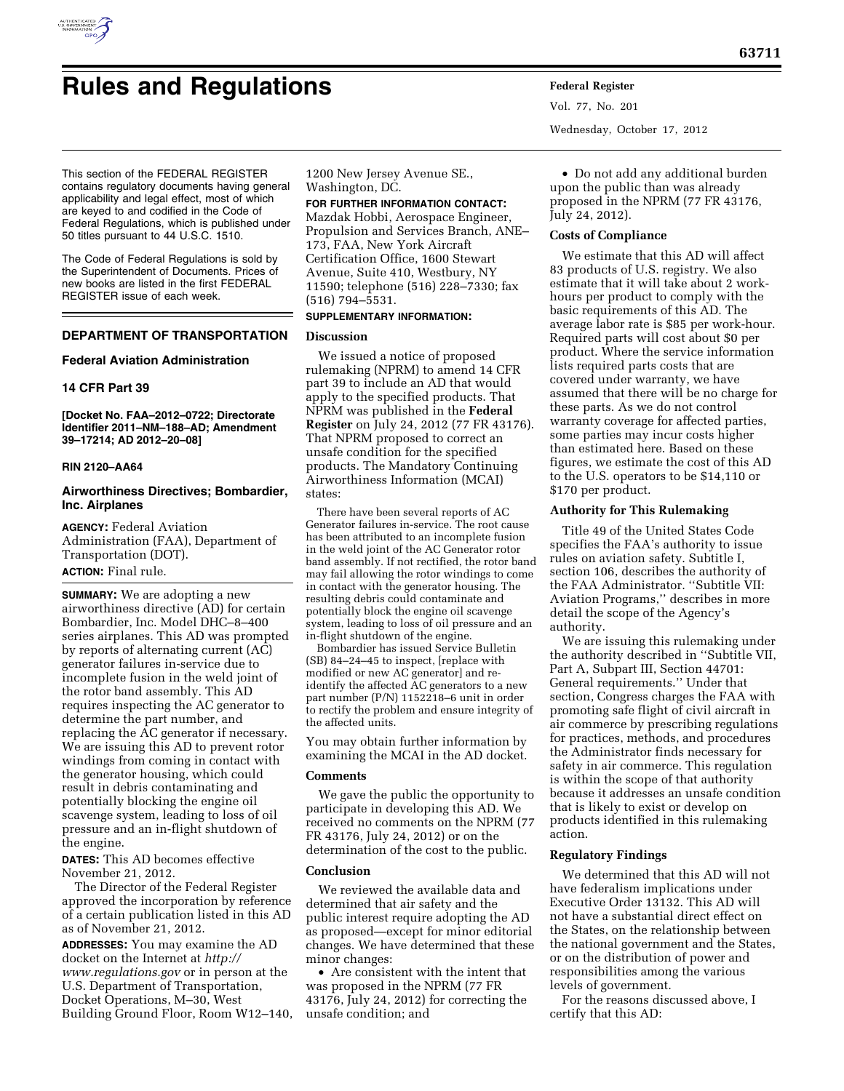

# **Rules and Regulations Federal Register**

Vol. 77, No. 201 Wednesday, October 17, 2012

This section of the FEDERAL REGISTER contains regulatory documents having general applicability and legal effect, most of which are keyed to and codified in the Code of Federal Regulations, which is published under 50 titles pursuant to 44 U.S.C. 1510.

The Code of Federal Regulations is sold by the Superintendent of Documents. Prices of new books are listed in the first FEDERAL REGISTER issue of each week.

## **DEPARTMENT OF TRANSPORTATION**

## **Federal Aviation Administration**

## **14 CFR Part 39**

**[Docket No. FAA–2012–0722; Directorate Identifier 2011–NM–188–AD; Amendment 39–17214; AD 2012–20–08]** 

## **RIN 2120–AA64**

## **Airworthiness Directives; Bombardier, Inc. Airplanes**

**AGENCY:** Federal Aviation Administration (FAA), Department of Transportation (DOT). **ACTION:** Final rule.

**SUMMARY:** We are adopting a new airworthiness directive (AD) for certain Bombardier, Inc. Model DHC–8–400 series airplanes. This AD was prompted by reports of alternating current (AC) generator failures in-service due to incomplete fusion in the weld joint of the rotor band assembly. This AD requires inspecting the AC generator to determine the part number, and replacing the AC generator if necessary. We are issuing this AD to prevent rotor windings from coming in contact with the generator housing, which could result in debris contaminating and potentially blocking the engine oil scavenge system, leading to loss of oil pressure and an in-flight shutdown of the engine.

**DATES:** This AD becomes effective November 21, 2012.

The Director of the Federal Register approved the incorporation by reference of a certain publication listed in this AD as of November 21, 2012.

**ADDRESSES:** You may examine the AD docket on the Internet at *[http://](http://www.regulations.gov)  [www.regulations.gov](http://www.regulations.gov)* or in person at the U.S. Department of Transportation, Docket Operations, M–30, West Building Ground Floor, Room W12–140,

1200 New Jersey Avenue SE., Washington, DC.

#### **FOR FURTHER INFORMATION CONTACT:**

Mazdak Hobbi, Aerospace Engineer, Propulsion and Services Branch, ANE– 173, FAA, New York Aircraft Certification Office, 1600 Stewart Avenue, Suite 410, Westbury, NY 11590; telephone (516) 228–7330; fax (516) 794–5531.

# **SUPPLEMENTARY INFORMATION:**

## **Discussion**

We issued a notice of proposed rulemaking (NPRM) to amend 14 CFR part 39 to include an AD that would apply to the specified products. That NPRM was published in the **Federal Register** on July 24, 2012 (77 FR 43176). That NPRM proposed to correct an unsafe condition for the specified products. The Mandatory Continuing Airworthiness Information (MCAI) states:

There have been several reports of AC Generator failures in-service. The root cause has been attributed to an incomplete fusion in the weld joint of the AC Generator rotor band assembly. If not rectified, the rotor band may fail allowing the rotor windings to come in contact with the generator housing. The resulting debris could contaminate and potentially block the engine oil scavenge system, leading to loss of oil pressure and an in-flight shutdown of the engine.

Bombardier has issued Service Bulletin (SB) 84–24–45 to inspect, [replace with modified or new AC generator] and reidentify the affected AC generators to a new part number (P/N) 1152218–6 unit in order to rectify the problem and ensure integrity of the affected units.

You may obtain further information by examining the MCAI in the AD docket.

## **Comments**

We gave the public the opportunity to participate in developing this AD. We received no comments on the NPRM (77 FR 43176, July 24, 2012) or on the determination of the cost to the public.

#### **Conclusion**

We reviewed the available data and determined that air safety and the public interest require adopting the AD as proposed—except for minor editorial changes. We have determined that these minor changes:

• Are consistent with the intent that was proposed in the NPRM (77 FR 43176, July 24, 2012) for correcting the unsafe condition; and

• Do not add any additional burden upon the public than was already proposed in the NPRM (77 FR 43176, July 24, 2012).

## **Costs of Compliance**

We estimate that this AD will affect 83 products of U.S. registry. We also estimate that it will take about 2 workhours per product to comply with the basic requirements of this AD. The average labor rate is \$85 per work-hour. Required parts will cost about \$0 per product. Where the service information lists required parts costs that are covered under warranty, we have assumed that there will be no charge for these parts. As we do not control warranty coverage for affected parties, some parties may incur costs higher than estimated here. Based on these figures, we estimate the cost of this AD to the U.S. operators to be \$14,110 or \$170 per product.

## **Authority for This Rulemaking**

Title 49 of the United States Code specifies the FAA's authority to issue rules on aviation safety. Subtitle I, section 106, describes the authority of the FAA Administrator. ''Subtitle VII: Aviation Programs,'' describes in more detail the scope of the Agency's authority.

We are issuing this rulemaking under the authority described in ''Subtitle VII, Part A, Subpart III, Section 44701: General requirements.'' Under that section, Congress charges the FAA with promoting safe flight of civil aircraft in air commerce by prescribing regulations for practices, methods, and procedures the Administrator finds necessary for safety in air commerce. This regulation is within the scope of that authority because it addresses an unsafe condition that is likely to exist or develop on products identified in this rulemaking action.

## **Regulatory Findings**

We determined that this AD will not have federalism implications under Executive Order 13132. This AD will not have a substantial direct effect on the States, on the relationship between the national government and the States, or on the distribution of power and responsibilities among the various levels of government.

For the reasons discussed above, I certify that this AD: